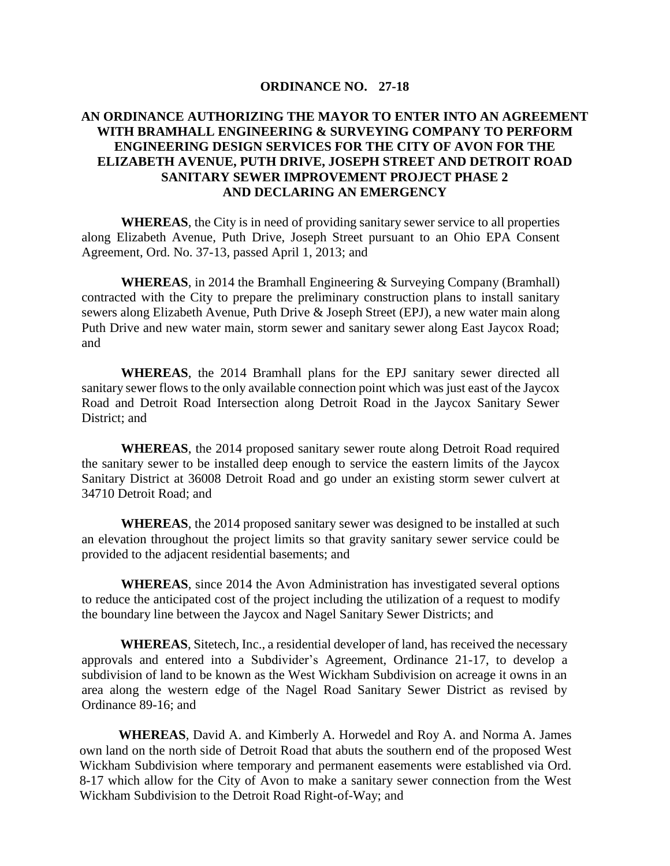## **ORDINANCE NO. 27-18**

## **AN ORDINANCE AUTHORIZING THE MAYOR TO ENTER INTO AN AGREEMENT WITH BRAMHALL ENGINEERING & SURVEYING COMPANY TO PERFORM ENGINEERING DESIGN SERVICES FOR THE CITY OF AVON FOR THE ELIZABETH AVENUE, PUTH DRIVE, JOSEPH STREET AND DETROIT ROAD SANITARY SEWER IMPROVEMENT PROJECT PHASE 2 AND DECLARING AN EMERGENCY**

**WHEREAS**, the City is in need of providing sanitary sewer service to all properties along Elizabeth Avenue, Puth Drive, Joseph Street pursuant to an Ohio EPA Consent Agreement, Ord. No. 37-13, passed April 1, 2013; and

**WHEREAS**, in 2014 the Bramhall Engineering & Surveying Company (Bramhall) contracted with the City to prepare the preliminary construction plans to install sanitary sewers along Elizabeth Avenue, Puth Drive & Joseph Street (EPJ), a new water main along Puth Drive and new water main, storm sewer and sanitary sewer along East Jaycox Road; and

**WHEREAS**, the 2014 Bramhall plans for the EPJ sanitary sewer directed all sanitary sewer flows to the only available connection point which was just east of the Jaycox Road and Detroit Road Intersection along Detroit Road in the Jaycox Sanitary Sewer District; and

**WHEREAS**, the 2014 proposed sanitary sewer route along Detroit Road required the sanitary sewer to be installed deep enough to service the eastern limits of the Jaycox Sanitary District at 36008 Detroit Road and go under an existing storm sewer culvert at 34710 Detroit Road; and

**WHEREAS**, the 2014 proposed sanitary sewer was designed to be installed at such an elevation throughout the project limits so that gravity sanitary sewer service could be provided to the adjacent residential basements; and

**WHEREAS**, since 2014 the Avon Administration has investigated several options to reduce the anticipated cost of the project including the utilization of a request to modify the boundary line between the Jaycox and Nagel Sanitary Sewer Districts; and

**WHEREAS**, Sitetech, Inc., a residential developer of land, has received the necessary approvals and entered into a Subdivider's Agreement, Ordinance 21-17, to develop a subdivision of land to be known as the West Wickham Subdivision on acreage it owns in an area along the western edge of the Nagel Road Sanitary Sewer District as revised by Ordinance 89-16; and

**WHEREAS**, David A. and Kimberly A. Horwedel and Roy A. and Norma A. James own land on the north side of Detroit Road that abuts the southern end of the proposed West Wickham Subdivision where temporary and permanent easements were established via Ord. 8-17 which allow for the City of Avon to make a sanitary sewer connection from the West Wickham Subdivision to the Detroit Road Right-of-Way; and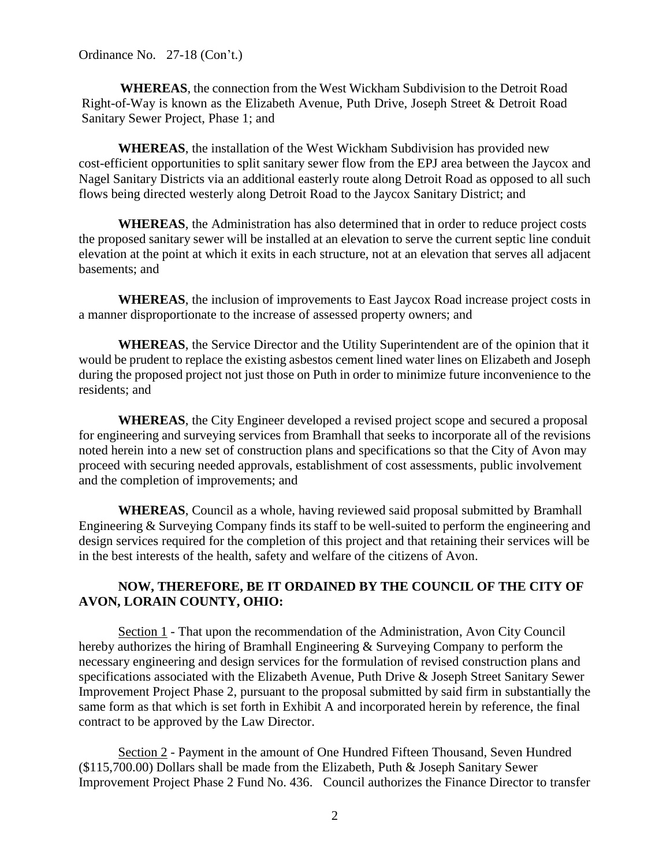Ordinance No. 27-18 (Con't.)

**WHEREAS**, the connection from the West Wickham Subdivision to the Detroit Road Right-of-Way is known as the Elizabeth Avenue, Puth Drive, Joseph Street & Detroit Road Sanitary Sewer Project, Phase 1; and

**WHEREAS**, the installation of the West Wickham Subdivision has provided new cost-efficient opportunities to split sanitary sewer flow from the EPJ area between the Jaycox and Nagel Sanitary Districts via an additional easterly route along Detroit Road as opposed to all such flows being directed westerly along Detroit Road to the Jaycox Sanitary District; and

**WHEREAS**, the Administration has also determined that in order to reduce project costs the proposed sanitary sewer will be installed at an elevation to serve the current septic line conduit elevation at the point at which it exits in each structure, not at an elevation that serves all adjacent basements; and

**WHEREAS**, the inclusion of improvements to East Jaycox Road increase project costs in a manner disproportionate to the increase of assessed property owners; and

**WHEREAS**, the Service Director and the Utility Superintendent are of the opinion that it would be prudent to replace the existing asbestos cement lined water lines on Elizabeth and Joseph during the proposed project not just those on Puth in order to minimize future inconvenience to the residents; and

**WHEREAS**, the City Engineer developed a revised project scope and secured a proposal for engineering and surveying services from Bramhall that seeks to incorporate all of the revisions noted herein into a new set of construction plans and specifications so that the City of Avon may proceed with securing needed approvals, establishment of cost assessments, public involvement and the completion of improvements; and

**WHEREAS**, Council as a whole, having reviewed said proposal submitted by Bramhall Engineering & Surveying Company finds its staff to be well-suited to perform the engineering and design services required for the completion of this project and that retaining their services will be in the best interests of the health, safety and welfare of the citizens of Avon.

## **NOW, THEREFORE, BE IT ORDAINED BY THE COUNCIL OF THE CITY OF AVON, LORAIN COUNTY, OHIO:**

Section 1 - That upon the recommendation of the Administration, Avon City Council hereby authorizes the hiring of Bramhall Engineering & Surveying Company to perform the necessary engineering and design services for the formulation of revised construction plans and specifications associated with the Elizabeth Avenue, Puth Drive & Joseph Street Sanitary Sewer Improvement Project Phase 2, pursuant to the proposal submitted by said firm in substantially the same form as that which is set forth in Exhibit A and incorporated herein by reference, the final contract to be approved by the Law Director.

Section 2 - Payment in the amount of One Hundred Fifteen Thousand, Seven Hundred (\$115,700.00) Dollars shall be made from the Elizabeth, Puth & Joseph Sanitary Sewer Improvement Project Phase 2 Fund No. 436. Council authorizes the Finance Director to transfer